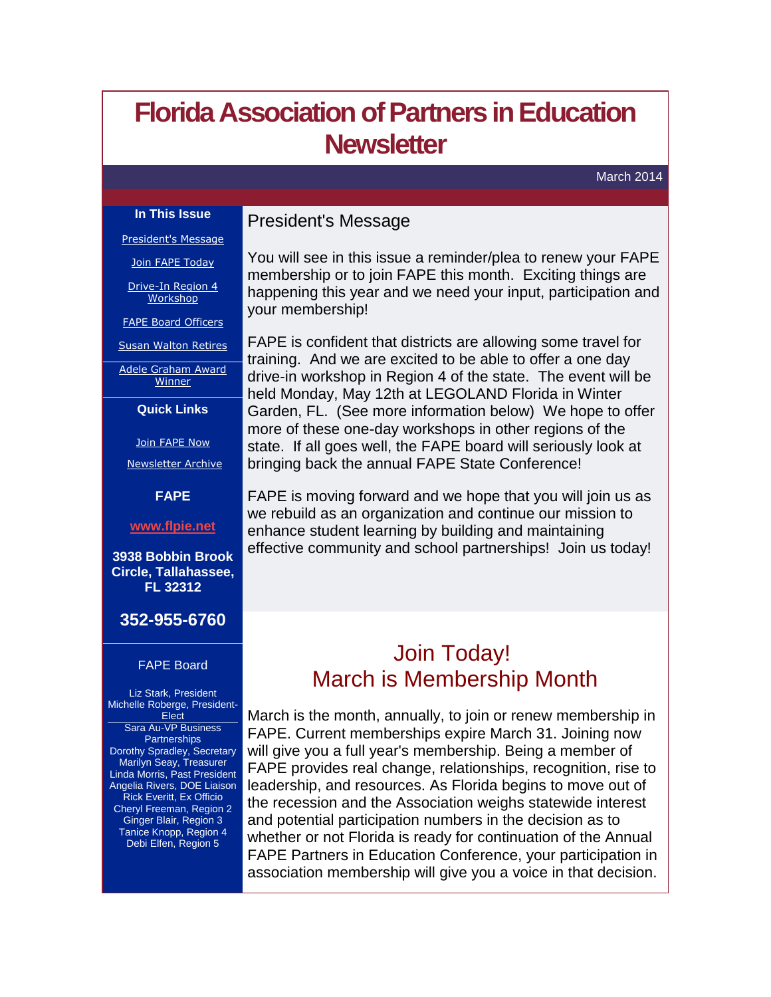# <span id="page-0-0"></span>**Florida Association of Partners in Education Newsletter**

March 2014

### **In This Issue**

### President's Message

[President's Message](#page-0-0)

[Join FAPE Today](#page-0-0)

[Drive-In Region 4](#page-1-0)  **[Workshop](#page-1-0)** 

[FAPE Board Officers](#page-2-0)

[Susan Walton Retires](#page-2-0)

[Adele Graham Award](#page-4-0)  [Winner](#page-4-0)

**Quick Links**

[Join FAPE Now](http://r20.rs6.net/tn.jsp?f=0016sNSqEFoKfvYXJsiuVSkyGqMpcvTtGjUSw0boMg_UT_yAa9Nhi95r0KB8qGpLs5HtWg11mCCKzv0SbAg9YggCaOwqrd2gTZy9JCv7VhwOKB3HmUKUtmk6jqsB6I5cJeg4XuGJ5aTTcH2o6d4YkOhFA8RiiKt8P8w-gVO66N7T9_g8Lg_niba8A==&c=dXnc-HNrY-oGcXIxlYDiAb_tbZTp20IdlUJa1suoDGv-LxGzLzhspA==&ch=ybFErEuRKhl7QxyLETO5Sl44rlUt5mtjfF_Hi-ZR6nS_q0Iy187siA==)

[Newsletter Archive](http://r20.rs6.net/tn.jsp?f=0016sNSqEFoKfvYXJsiuVSkyGqMpcvTtGjUSw0boMg_UT_yAa9Nhi95r0KB8qGpLs5Hm4zr3Nab8txgB8lNPg_iICrAtMxRl3amUM3bOItG5hmh5f-DXGPi3b5MRYuIOZWkz3MHOKujQRKfBtOWIieRAsk1_eo_OkW8zibpx0m8p-ehJhsSemkhfA==&c=dXnc-HNrY-oGcXIxlYDiAb_tbZTp20IdlUJa1suoDGv-LxGzLzhspA==&ch=ybFErEuRKhl7QxyLETO5Sl44rlUt5mtjfF_Hi-ZR6nS_q0Iy187siA==)

**FAPE**

**[www.flpie.net](http://r20.rs6.net/tn.jsp?f=0016sNSqEFoKfvYXJsiuVSkyGqMpcvTtGjUSw0boMg_UT_yAa9Nhi95r0KB8qGpLs5H4pUxCQY_4FYL2PPXxbUMDYDHJz43x_5Q_ej2gCvjX_MiP_IBOGEkzNwAbA_ap-vIwwV5ViXSytC2YwBB4L20h12zDXj-5W2FYc2TlAfon90=&c=dXnc-HNrY-oGcXIxlYDiAb_tbZTp20IdlUJa1suoDGv-LxGzLzhspA==&ch=ybFErEuRKhl7QxyLETO5Sl44rlUt5mtjfF_Hi-ZR6nS_q0Iy187siA==)**

**3938 Bobbin Brook Circle, Tallahassee, FL 32312**

### **352-955-6760**

### FAPE Board

Liz Stark, President Michelle Roberge, President-**Elect** Sara Au-VP Business **Partnerships** Dorothy Spradley, Secretary Marilyn Seay, Treasurer Linda Morris, Past President Angelia Rivers, DOE Liaison Rick Everitt, Ex Officio Cheryl Freeman, Region 2 Ginger Blair, Region 3 Tanice Knopp, Region 4 Debi Elfen, Region 5

You will see in this issue a reminder/plea to renew your FAPE membership or to join FAPE this month. Exciting things are happening this year and we need your input, participation and your membership!

FAPE is confident that districts are allowing some travel for training. And we are excited to be able to offer a one day drive-in workshop in Region 4 of the state. The event will be held Monday, May 12th at LEGOLAND Florida in Winter Garden, FL. (See more information below) We hope to offer more of these one-day workshops in other regions of the state. If all goes well, the FAPE board will seriously look at bringing back the annual FAPE State Conference!

FAPE is moving forward and we hope that you will join us as we rebuild as an organization and continue our mission to enhance student learning by building and maintaining effective community and school partnerships! Join us today!

# Join Today! March is Membership Month

March is the month, annually, to join or renew membership in FAPE. Current memberships expire March 31. Joining now will give you a full year's membership. Being a member of FAPE provides real change, relationships, recognition, rise to leadership, and resources. As Florida begins to move out of the recession and the Association weighs statewide interest and potential participation numbers in the decision as to whether or not Florida is ready for continuation of the Annual FAPE Partners in Education Conference, your participation in association membership will give you a voice in that decision.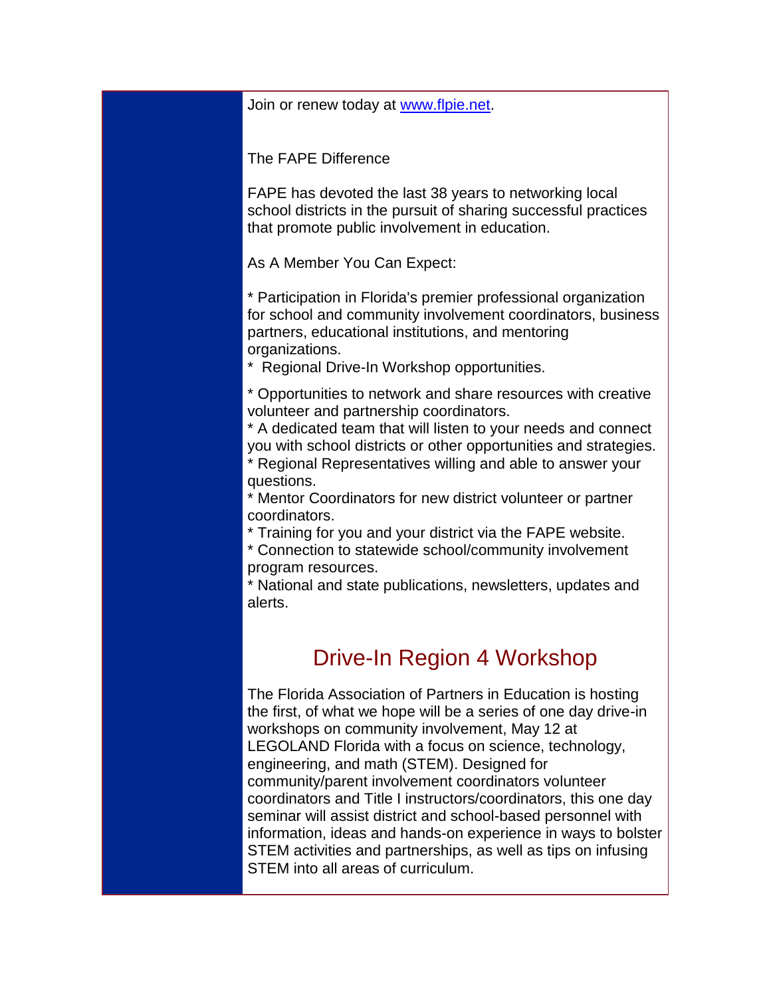<span id="page-1-0"></span>Join or renew today at [www.flpie.net.](http://www.flpie.net/)

The FAPE Difference

FAPE has devoted the last 38 years to networking local school districts in the pursuit of sharing successful practices that promote public involvement in education.

As A Member You Can Expect:

\* Participation in Florida's premier professional organization for school and community involvement coordinators, business partners, educational institutions, and mentoring organizations.

\* Regional Drive-In Workshop opportunities.

\* Opportunities to network and share resources with creative volunteer and partnership coordinators.

\* A dedicated team that will listen to your needs and connect you with school districts or other opportunities and strategies.

\* Regional Representatives willing and able to answer your questions.

\* Mentor Coordinators for new district volunteer or partner coordinators.

\* Training for you and your district via the FAPE website.

\* Connection to statewide school/community involvement program resources.

\* National and state publications, newsletters, updates and alerts.

## Drive-In Region 4 Workshop

The Florida Association of Partners in Education is hosting the first, of what we hope will be a series of one day drive-in workshops on community involvement, May 12 at LEGOLAND Florida with a focus on science, technology, engineering, and math (STEM). Designed for community/parent involvement coordinators volunteer coordinators and Title I instructors/coordinators, this one day seminar will assist district and school-based personnel with information, ideas and hands-on experience in ways to bolster STEM activities and partnerships, as well as tips on infusing STEM into all areas of curriculum.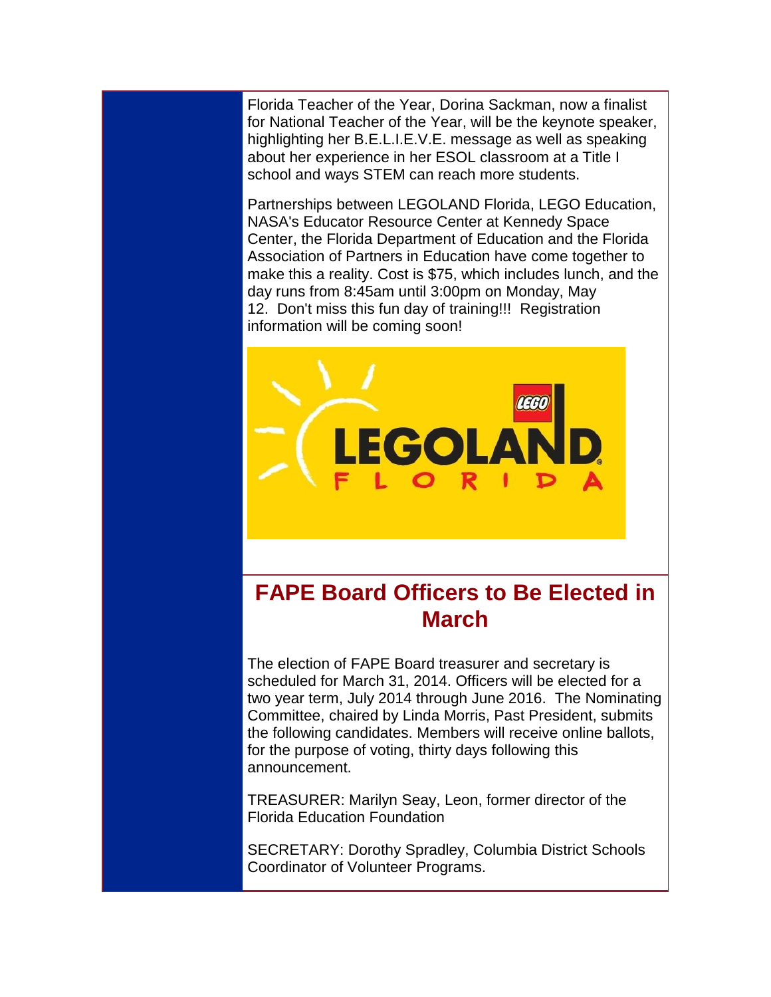<span id="page-2-0"></span>Florida Teacher of the Year, Dorina Sackman, now a finalist for National Teacher of the Year, will be the keynote speaker, highlighting her B.E.L.I.E.V.E. message as well as speaking about her experience in her ESOL classroom at a Title I school and ways STEM can reach more students.

Partnerships between LEGOLAND Florida, LEGO Education, NASA's Educator Resource Center at Kennedy Space Center, the Florida Department of Education and the Florida Association of Partners in Education have come together to make this a reality. Cost is \$75, which includes lunch, and the day runs from 8:45am until 3:00pm on Monday, May 12. Don't miss this fun day of training!!! Registration information will be coming soon!



# **FAPE Board Officers to Be Elected in March**

The election of FAPE Board treasurer and secretary is scheduled for March 31, 2014. Officers will be elected for a two year term, July 2014 through June 2016. The Nominating Committee, chaired by Linda Morris, Past President, submits the following candidates. Members will receive online ballots, for the purpose of voting, thirty days following this announcement.

TREASURER: Marilyn Seay, Leon, former director of the Florida Education Foundation

SECRETARY: Dorothy Spradley, Columbia District Schools Coordinator of Volunteer Programs.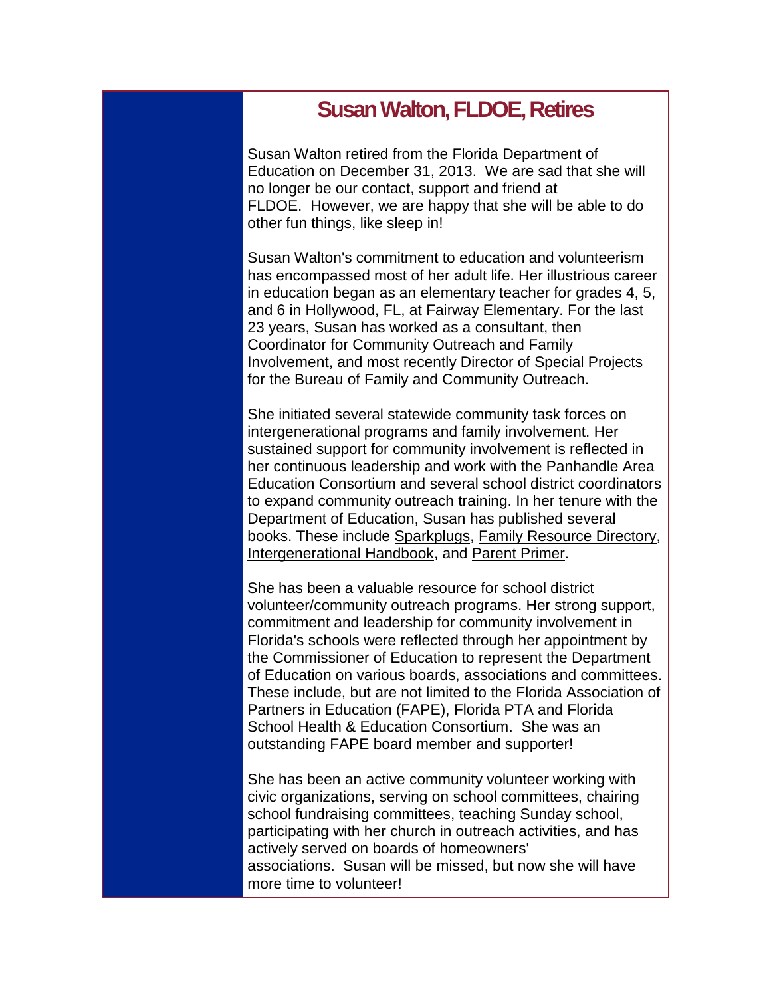### **Susan Walton, FLDOE, Retires**

Susan Walton retired from the Florida Department of Education on December 31, 2013. We are sad that she will no longer be our contact, support and friend at FLDOE. However, we are happy that she will be able to do other fun things, like sleep in!

Susan Walton's commitment to education and volunteerism has encompassed most of her adult life. Her illustrious career in education began as an elementary teacher for grades 4, 5, and 6 in Hollywood, FL, at Fairway Elementary. For the last 23 years, Susan has worked as a consultant, then Coordinator for Community Outreach and Family Involvement, and most recently Director of Special Projects for the Bureau of Family and Community Outreach.

She initiated several statewide community task forces on intergenerational programs and family involvement. Her sustained support for community involvement is reflected in her continuous leadership and work with the Panhandle Area Education Consortium and several school district coordinators to expand community outreach training. In her tenure with the Department of Education, Susan has published several books. These include Sparkplugs, Family Resource Directory, Intergenerational Handbook, and Parent Primer.

She has been a valuable resource for school district volunteer/community outreach programs. Her strong support, commitment and leadership for community involvement in Florida's schools were reflected through her appointment by the Commissioner of Education to represent the Department of Education on various boards, associations and committees. These include, but are not limited to the Florida Association of Partners in Education (FAPE), Florida PTA and Florida School Health & Education Consortium. She was an outstanding FAPE board member and supporter!

She has been an active community volunteer working with civic organizations, serving on school committees, chairing school fundraising committees, teaching Sunday school, participating with her church in outreach activities, and has actively served on boards of homeowners' associations. Susan will be missed, but now she will have more time to volunteer!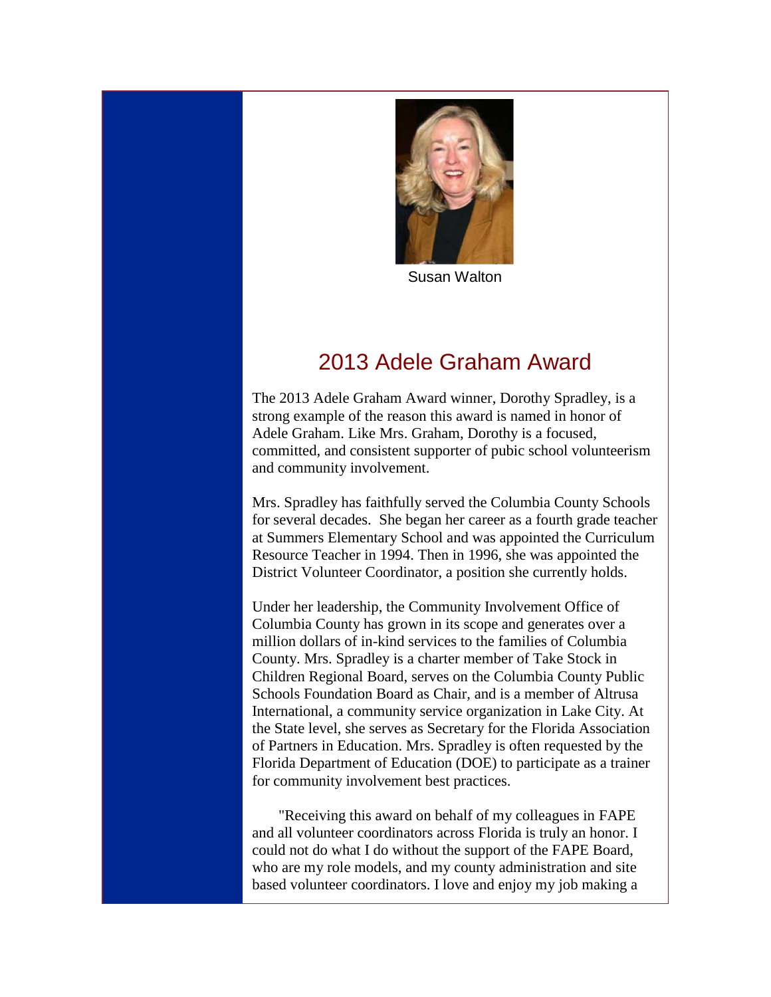

Susan Walton

## 2013 Adele Graham Award

<span id="page-4-0"></span>The 2013 Adele Graham Award winner, Dorothy Spradley, is a strong example of the reason this award is named in honor of Adele Graham. Like Mrs. Graham, Dorothy is a focused, committed, and consistent supporter of pubic school volunteerism and community involvement.

Mrs. Spradley has faithfully served the Columbia County Schools for several decades. She began her career as a fourth grade teacher at Summers Elementary School and was appointed the Curriculum Resource Teacher in 1994. Then in 1996, she was appointed the District Volunteer Coordinator, a position she currently holds.

Under her leadership, the Community Involvement Office of Columbia County has grown in its scope and generates over a million dollars of in-kind services to the families of Columbia County. Mrs. Spradley is a charter member of Take Stock in Children Regional Board, serves on the Columbia County Public Schools Foundation Board as Chair, and is a member of Altrusa International, a community service organization in Lake City. At the State level, she serves as Secretary for the Florida Association of Partners in Education. Mrs. Spradley is often requested by the Florida Department of Education (DOE) to participate as a trainer for community involvement best practices.

 "Receiving this award on behalf of my colleagues in FAPE and all volunteer coordinators across Florida is truly an honor. I could not do what I do without the support of the FAPE Board, who are my role models, and my county administration and site based volunteer coordinators. I love and enjoy my job making a